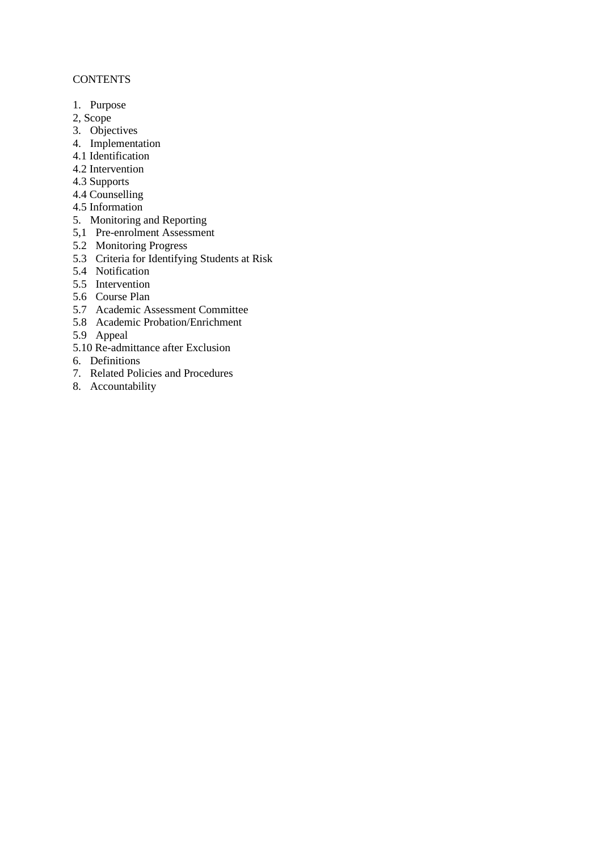# **CONTENTS**

- 1. Purpose
- 2, Scope
- 3. Objectives
- 4. Implementation
- 4.1 Identification
- 4.2 Intervention
- 4.3 Supports
- 4.4 Counselling
- 4.5 Information
- 5. Monitoring and Reporting
- 5,1 Pre-enrolment Assessment
- 5.2 Monitoring Progress
- 5.3 Criteria for Identifying Students at Risk
- 5.4 Notification
- 5.5 Intervention
- 5.6 Course Plan
- 5.7 Academic Assessment Committee
- 5.8 Academic Probation/Enrichment
- 5.9 Appeal
- 5.10 Re-admittance after Exclusion
- 6. Definitions
- 7. Related Policies and Procedures
- 8. Accountability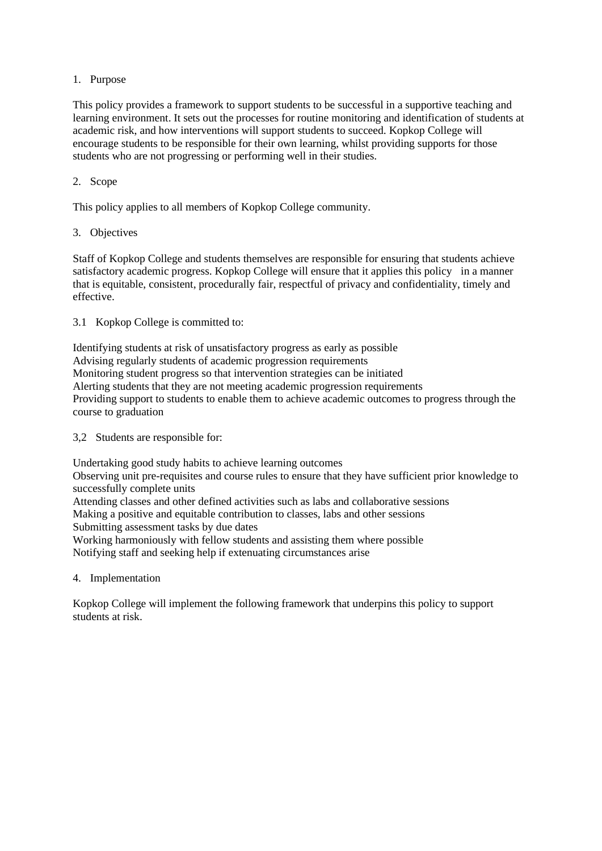# 1. Purpose

This policy provides a framework to support students to be successful in a supportive teaching and learning environment. It sets out the processes for routine monitoring and identification of students at academic risk, and how interventions will support students to succeed. Kopkop College will encourage students to be responsible for their own learning, whilst providing supports for those students who are not progressing or performing well in their studies.

# 2. Scope

This policy applies to all members of Kopkop College community.

3. Objectives

Staff of Kopkop College and students themselves are responsible for ensuring that students achieve satisfactory academic progress. Kopkop College will ensure that it applies this policy in a manner that is equitable, consistent, procedurally fair, respectful of privacy and confidentiality, timely and effective.

3.1 Kopkop College is committed to:

Identifying students at risk of unsatisfactory progress as early as possible Advising regularly students of academic progression requirements Monitoring student progress so that intervention strategies can be initiated Alerting students that they are not meeting academic progression requirements Providing support to students to enable them to achieve academic outcomes to progress through the course to graduation

3,2 Students are responsible for:

Undertaking good study habits to achieve learning outcomes

Observing unit pre-requisites and course rules to ensure that they have sufficient prior knowledge to successfully complete units

Attending classes and other defined activities such as labs and collaborative sessions Making a positive and equitable contribution to classes, labs and other sessions

Submitting assessment tasks by due dates

Working harmoniously with fellow students and assisting them where possible Notifying staff and seeking help if extenuating circumstances arise

4. Implementation

Kopkop College will implement the following framework that underpins this policy to support students at risk.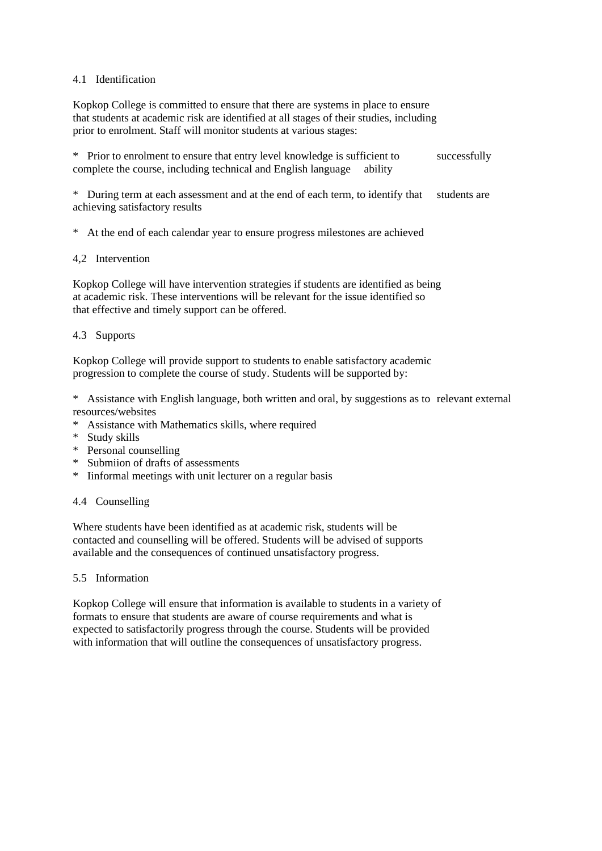### 4.1 Identification

Kopkop College is committed to ensure that there are systems in place to ensure that students at academic risk are identified at all stages of their studies, including prior to enrolment. Staff will monitor students at various stages:

| * Prior to enrolment to ensure that entry level knowledge is sufficient to | successfully |
|----------------------------------------------------------------------------|--------------|
| complete the course, including technical and English language ability      |              |

\* During term at each assessment and at the end of each term, to identify that students are achieving satisfactory results

\* At the end of each calendar year to ensure progress milestones are achieved

#### 4,2 Intervention

Kopkop College will have intervention strategies if students are identified as being at academic risk. These interventions will be relevant for the issue identified so that effective and timely support can be offered.

## 4.3 Supports

Kopkop College will provide support to students to enable satisfactory academic progression to complete the course of study. Students will be supported by:

\* Assistance with English language, both written and oral, by suggestions as to relevant external resources/websites

- \* Assistance with Mathematics skills, where required
- \* Study skills
- \* Personal counselling
- \* Submiion of drafts of assessments
- \* Iinformal meetings with unit lecturer on a regular basis

#### 4.4 Counselling

Where students have been identified as at academic risk, students will be contacted and counselling will be offered. Students will be advised of supports available and the consequences of continued unsatisfactory progress.

#### 5.5 Information

Kopkop College will ensure that information is available to students in a variety of formats to ensure that students are aware of course requirements and what is expected to satisfactorily progress through the course. Students will be provided with information that will outline the consequences of unsatisfactory progress.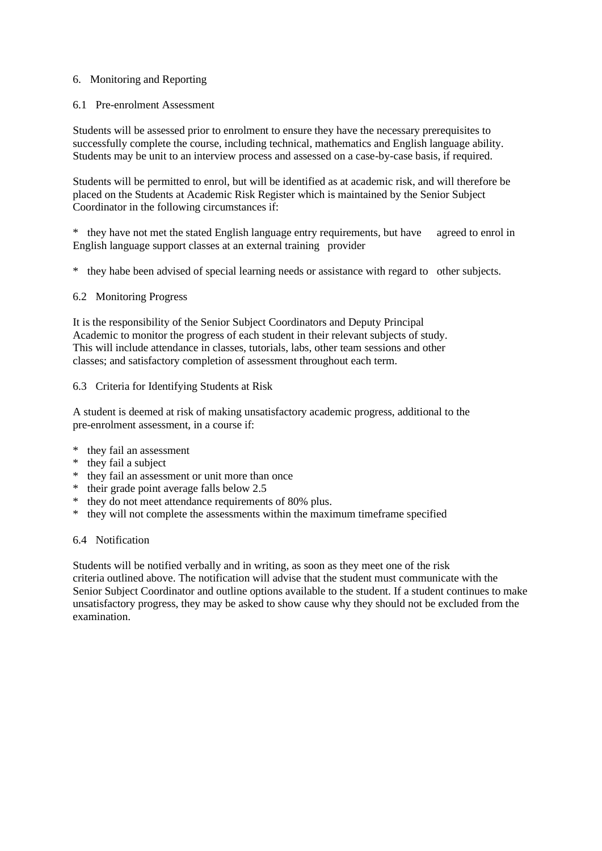## 6. Monitoring and Reporting

# 6.1 Pre-enrolment Assessment

Students will be assessed prior to enrolment to ensure they have the necessary prerequisites to successfully complete the course, including technical, mathematics and English language ability. Students may be unit to an interview process and assessed on a case-by-case basis, if required.

Students will be permitted to enrol, but will be identified as at academic risk, and will therefore be placed on the Students at Academic Risk Register which is maintained by the Senior Subject Coordinator in the following circumstances if:

\* they have not met the stated English language entry requirements, but have agreed to enrol in English language support classes at an external training provider

\* they habe been advised of special learning needs or assistance with regard to other subjects.

## 6.2 Monitoring Progress

It is the responsibility of the Senior Subject Coordinators and Deputy Principal Academic to monitor the progress of each student in their relevant subjects of study. This will include attendance in classes, tutorials, labs, other team sessions and other classes; and satisfactory completion of assessment throughout each term.

#### 6.3 Criteria for Identifying Students at Risk

A student is deemed at risk of making unsatisfactory academic progress, additional to the pre-enrolment assessment, in a course if:

- \* they fail an assessment
- \* they fail a subject
- \* they fail an assessment or unit more than once
- \* their grade point average falls below 2.5
- \* they do not meet attendance requirements of 80% plus.
- \* they will not complete the assessments within the maximum timeframe specified

#### 6.4 Notification

Students will be notified verbally and in writing, as soon as they meet one of the risk criteria outlined above. The notification will advise that the student must communicate with the Senior Subject Coordinator and outline options available to the student. If a student continues to make unsatisfactory progress, they may be asked to show cause why they should not be excluded from the examination.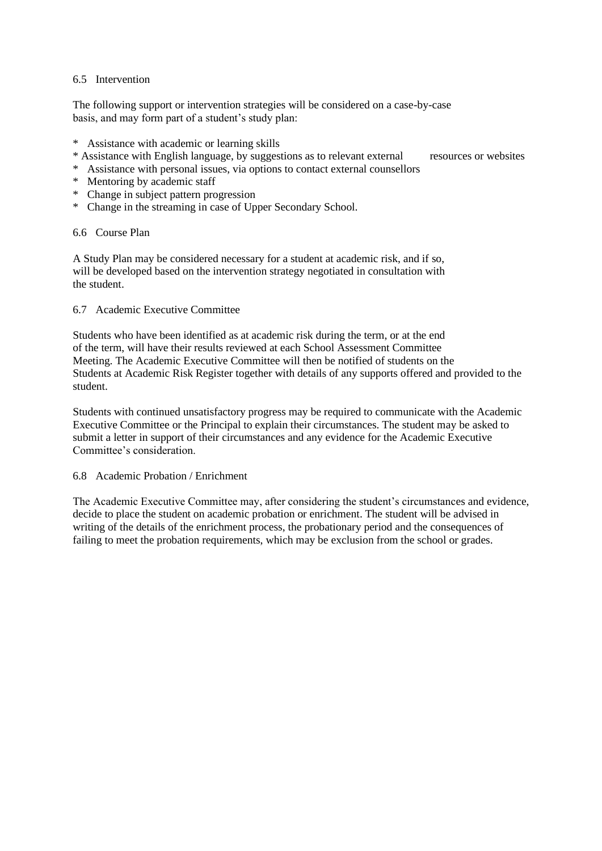## 6.5 Intervention

The following support or intervention strategies will be considered on a case-by-case basis, and may form part of a student's study plan:

- \* Assistance with academic or learning skills
- \* Assistance with English language, by suggestions as to relevant external resources or websites

- \* Assistance with personal issues, via options to contact external counsellors \* Mentoring by academic staff
- \* Change in subject pattern progression
- \* Change in the streaming in case of Upper Secondary School.

## 6.6 Course Plan

A Study Plan may be considered necessary for a student at academic risk, and if so, will be developed based on the intervention strategy negotiated in consultation with the student.

## 6.7 Academic Executive Committee

Students who have been identified as at academic risk during the term, or at the end of the term, will have their results reviewed at each School Assessment Committee Meeting. The Academic Executive Committee will then be notified of students on the Students at Academic Risk Register together with details of any supports offered and provided to the student.

Students with continued unsatisfactory progress may be required to communicate with the Academic Executive Committee or the Principal to explain their circumstances. The student may be asked to submit a letter in support of their circumstances and any evidence for the Academic Executive Committee's consideration.

## 6.8 Academic Probation / Enrichment

The Academic Executive Committee may, after considering the student's circumstances and evidence, decide to place the student on academic probation or enrichment. The student will be advised in writing of the details of the enrichment process, the probationary period and the consequences of failing to meet the probation requirements, which may be exclusion from the school or grades.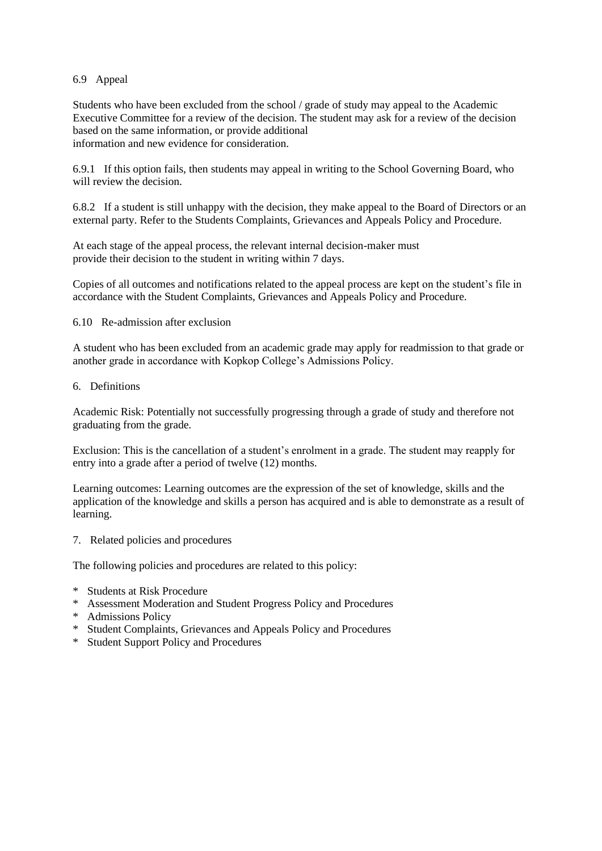## 6.9 Appeal

Students who have been excluded from the school / grade of study may appeal to the Academic Executive Committee for a review of the decision. The student may ask for a review of the decision based on the same information, or provide additional information and new evidence for consideration.

6.9.1 If this option fails, then students may appeal in writing to the School Governing Board, who will review the decision.

6.8.2 If a student is still unhappy with the decision, they make appeal to the Board of Directors or an external party. Refer to the Students Complaints, Grievances and Appeals Policy and Procedure.

At each stage of the appeal process, the relevant internal decision-maker must provide their decision to the student in writing within 7 days.

Copies of all outcomes and notifications related to the appeal process are kept on the student's file in accordance with the Student Complaints, Grievances and Appeals Policy and Procedure.

## 6.10 Re-admission after exclusion

A student who has been excluded from an academic grade may apply for readmission to that grade or another grade in accordance with Kopkop College's Admissions Policy.

# 6. Definitions

Academic Risk: Potentially not successfully progressing through a grade of study and therefore not graduating from the grade.

Exclusion: This is the cancellation of a student's enrolment in a grade. The student may reapply for entry into a grade after a period of twelve (12) months.

Learning outcomes: Learning outcomes are the expression of the set of knowledge, skills and the application of the knowledge and skills a person has acquired and is able to demonstrate as a result of learning.

7. Related policies and procedures

The following policies and procedures are related to this policy:

- \* Students at Risk Procedure
- \* Assessment Moderation and Student Progress Policy and Procedures
- \* Admissions Policy
- \* Student Complaints, Grievances and Appeals Policy and Procedures
- \* Student Support Policy and Procedures